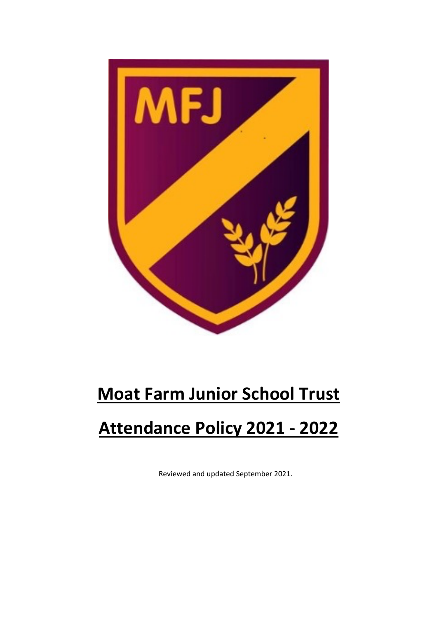

# **Moat Farm Junior School Trust**

# **Attendance Policy 2021 - 2022**

Reviewed and updated September 2021.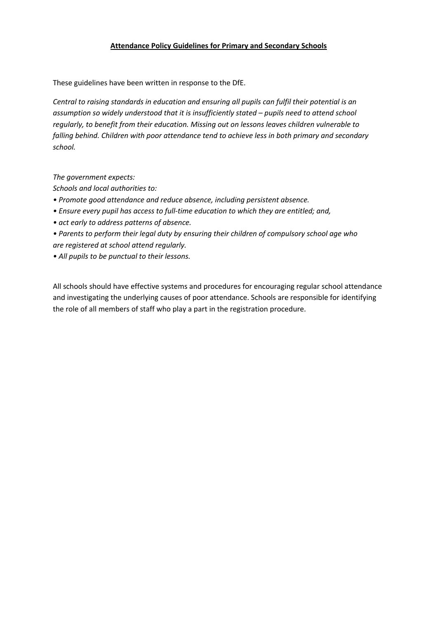#### **Attendance Policy Guidelines for Primary and Secondary Schools**

These guidelines have been written in response to the DfE.

*Central to raising standards in education and ensuring all pupils can fulfil their potential is an assumption so widely understood that it is insufficiently stated – pupils need to attend school regularly, to benefit from their education. Missing out on lessons leaves children vulnerable to falling behind. Children with poor attendance tend to achieve less in both primary and secondary school.*

*The government expects:*

*Schools and local authorities to:*

- *Promote good attendance and reduce absence, including persistent absence.*
- *Ensure every pupil has access to full-time education to which they are entitled; and,*
- *act early to address patterns of absence.*
- *Parents to perform their legal duty by ensuring their children of compulsory school age who are registered at school attend regularly.*
- *All pupils to be punctual to their lessons.*

All schools should have effective systems and procedures for encouraging regular school attendance and investigating the underlying causes of poor attendance. Schools are responsible for identifying the role of all members of staff who play a part in the registration procedure.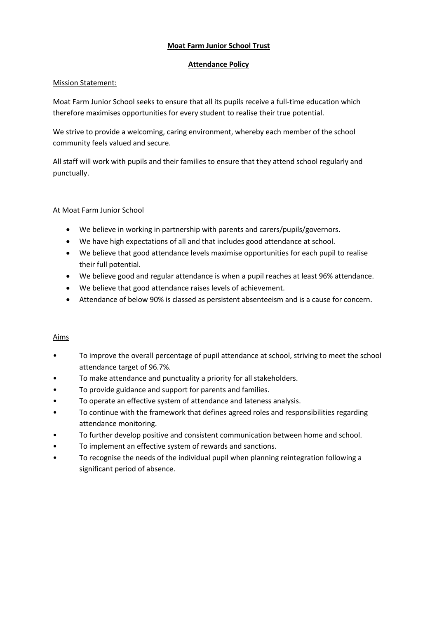#### **Moat Farm Junior School Trust**

#### **Attendance Policy**

#### Mission Statement:

Moat Farm Junior School seeks to ensure that all its pupils receive a full-time education which therefore maximises opportunities for every student to realise their true potential.

We strive to provide a welcoming, caring environment, whereby each member of the school community feels valued and secure.

All staff will work with pupils and their families to ensure that they attend school regularly and punctually.

# At Moat Farm Junior School

- We believe in working in partnership with parents and carers/pupils/governors.
- We have high expectations of all and that includes good attendance at school.
- We believe that good attendance levels maximise opportunities for each pupil to realise their full potential.
- We believe good and regular attendance is when a pupil reaches at least 96% attendance.
- We believe that good attendance raises levels of achievement.
- Attendance of below 90% is classed as persistent absenteeism and is a cause for concern.

# Aims

- To improve the overall percentage of pupil attendance at school, striving to meet the school attendance target of 96.7%.
- To make attendance and punctuality a priority for all stakeholders.
- To provide guidance and support for parents and families.
- To operate an effective system of attendance and lateness analysis.
- To continue with the framework that defines agreed roles and responsibilities regarding attendance monitoring.
- To further develop positive and consistent communication between home and school.
- To implement an effective system of rewards and sanctions.
- To recognise the needs of the individual pupil when planning reintegration following a significant period of absence.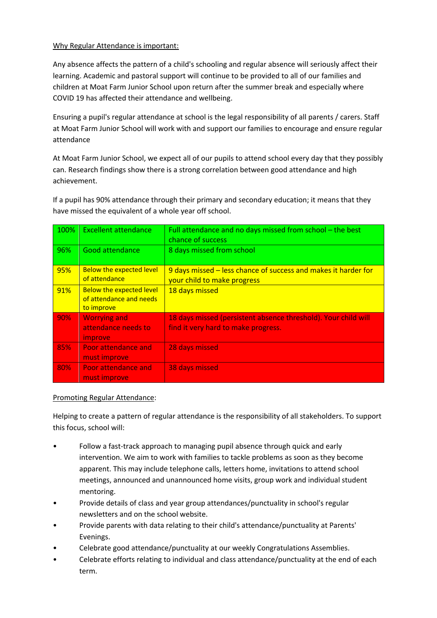#### Why Regular Attendance is important:

Any absence affects the pattern of a child's schooling and regular absence will seriously affect their learning. Academic and pastoral support will continue to be provided to all of our families and children at Moat Farm Junior School upon return after the summer break and especially where COVID 19 has affected their attendance and wellbeing.

Ensuring a pupil's regular attendance at school is the legal responsibility of all parents / carers. Staff at Moat Farm Junior School will work with and support our families to encourage and ensure regular attendance

At Moat Farm Junior School, we expect all of our pupils to attend school every day that they possibly can. Research findings show there is a strong correlation between good attendance and high achievement.

If a pupil has 90% attendance through their primary and secondary education; it means that they have missed the equivalent of a whole year off school.

| 100% | <b>Excellent attendance</b>                                              | Full attendance and no days missed from school - the best<br>chance of success                        |
|------|--------------------------------------------------------------------------|-------------------------------------------------------------------------------------------------------|
| 96%  | Good attendance                                                          | 8 days missed from school                                                                             |
| 95%  | <b>Below the expected level</b><br>of attendance                         | 9 days missed – less chance of success and makes it harder for<br>your child to make progress         |
| 91%  | <b>Below the expected level</b><br>of attendance and needs<br>to improve | 18 days missed                                                                                        |
| 90%  | <b>Worrying and</b><br>attendance needs to<br><i>improve</i>             | 18 days missed (persistent absence threshold). Your child will<br>find it very hard to make progress. |
| 85%  | Poor attendance and<br>must improve                                      | 28 days missed                                                                                        |
| 80%  | <b>Poor attendance and</b><br>must improve                               | 38 days missed                                                                                        |

# Promoting Regular Attendance:

Helping to create a pattern of regular attendance is the responsibility of all stakeholders. To support this focus, school will:

- Follow a fast-track approach to managing pupil absence through quick and early intervention. We aim to work with families to tackle problems as soon as they become apparent. This may include telephone calls, letters home, invitations to attend school meetings, announced and unannounced home visits, group work and individual student mentoring.
- Provide details of class and year group attendances/punctuality in school's regular newsletters and on the school website.
- Provide parents with data relating to their child's attendance/punctuality at Parents' Evenings.
- Celebrate good attendance/punctuality at our weekly Congratulations Assemblies.
- Celebrate efforts relating to individual and class attendance/punctuality at the end of each term.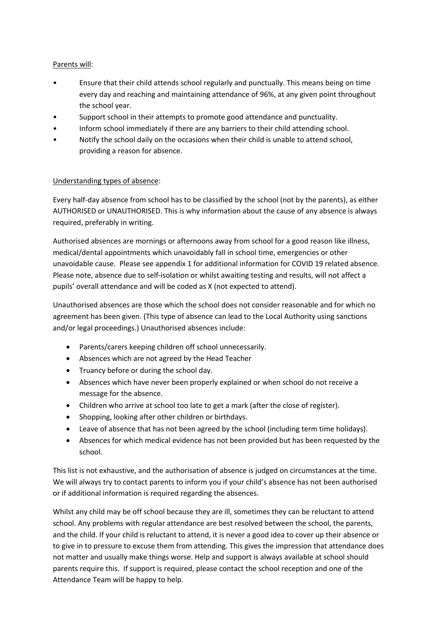# Parents will:

- Ensure that their child attends school regularly and punctually. This means being on time every day and reaching and maintaining attendance of 96%, at any given point throughout the school year.
- Support school in their attempts to promote good attendance and punctuality.
- Inform school immediately if there are any barriers to their child attending school.
- Notify the school daily on the occasions when their child is unable to attend school, providing a reason for absence.

#### Understanding types of absence:

Every half-day absence from school has to be classified by the school (not by the parents), as either AUTHORISED or UNAUTHORISED. This is why information about the cause of any absence is always required, preferably in writing.

Authorised absences are mornings or afternoons away from school for a good reason like illness, medical/dental appointments which unavoidably fall in school time, emergencies or other unavoidable cause. Please see appendix 1 for additional information for COVID 19 related absence. Please note, absence due to self-isolation or whilst awaiting testing and results, will not affect a pupils' overall attendance and will be coded as X (not expected to attend).

Unauthorised absences are those which the school does not consider reasonable and for which no agreement has been given. (This type of absence can lead to the Local Authority using sanctions and/or legal proceedings.) Unauthorised absences include:

- Parents/carers keeping children off school unnecessarily.
- Absences which are not agreed by the Head Teacher
- Truancy before or during the school day.
- Absences which have never been properly explained or when school do not receive a message for the absence.
- Children who arrive at school too late to get a mark (after the close of register).
- Shopping, looking after other children or birthdays.
- Leave of absence that has not been agreed by the school (including term time holidays).
- Absences for which medical evidence has not been provided but has been requested by the school.

This list is not exhaustive, and the authorisation of absence is judged on circumstances at the time. We will always try to contact parents to inform you if your child's absence has not been authorised or if additional information is required regarding the absences.

Whilst any child may be off school because they are ill, sometimes they can be reluctant to attend school. Any problems with regular attendance are best resolved between the school, the parents, and the child. If your child is reluctant to attend, it is never a good idea to cover up their absence or to give in to pressure to excuse them from attending. This gives the impression that attendance does not matter and usually make things worse. Help and support is always available at school should parents require this. If support is required, please contact the school reception and one of the Attendance Team will be happy to help.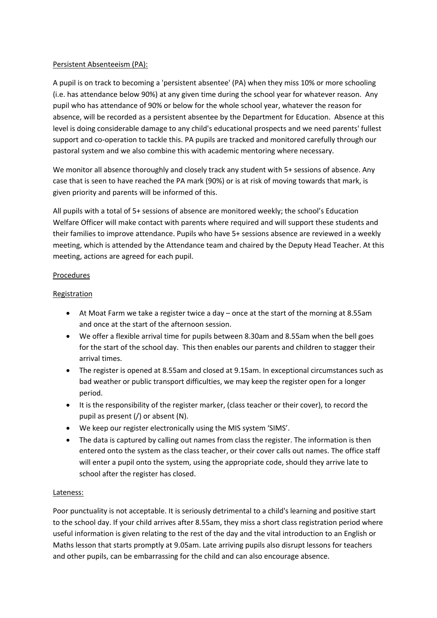# Persistent Absenteeism (PA):

A pupil is on track to becoming a 'persistent absentee' (PA) when they miss 10% or more schooling (i.e. has attendance below 90%) at any given time during the school year for whatever reason. Any pupil who has attendance of 90% or below for the whole school year, whatever the reason for absence, will be recorded as a persistent absentee by the Department for Education. Absence at this level is doing considerable damage to any child's educational prospects and we need parents' fullest support and co-operation to tackle this. PA pupils are tracked and monitored carefully through our pastoral system and we also combine this with academic mentoring where necessary.

We monitor all absence thoroughly and closely track any student with 5+ sessions of absence. Any case that is seen to have reached the PA mark (90%) or is at risk of moving towards that mark, is given priority and parents will be informed of this.

All pupils with a total of 5+ sessions of absence are monitored weekly; the school's Education Welfare Officer will make contact with parents where required and will support these students and their families to improve attendance. Pupils who have 5+ sessions absence are reviewed in a weekly meeting, which is attended by the Attendance team and chaired by the Deputy Head Teacher. At this meeting, actions are agreed for each pupil.

#### Procedures

#### Registration

- At Moat Farm we take a register twice a day once at the start of the morning at 8.55am and once at the start of the afternoon session.
- We offer a flexible arrival time for pupils between 8.30am and 8.55am when the bell goes for the start of the school day. This then enables our parents and children to stagger their arrival times.
- The register is opened at 8.55am and closed at 9.15am. In exceptional circumstances such as bad weather or public transport difficulties, we may keep the register open for a longer period.
- It is the responsibility of the register marker, (class teacher or their cover), to record the pupil as present (/) or absent (N).
- We keep our register electronically using the MIS system 'SIMS'.
- The data is captured by calling out names from class the register. The information is then entered onto the system as the class teacher, or their cover calls out names. The office staff will enter a pupil onto the system, using the appropriate code, should they arrive late to school after the register has closed.

#### Lateness:

Poor punctuality is not acceptable. It is seriously detrimental to a child's learning and positive start to the school day. If your child arrives after 8.55am, they miss a short class registration period where useful information is given relating to the rest of the day and the vital introduction to an English or Maths lesson that starts promptly at 9.05am. Late arriving pupils also disrupt lessons for teachers and other pupils, can be embarrassing for the child and can also encourage absence.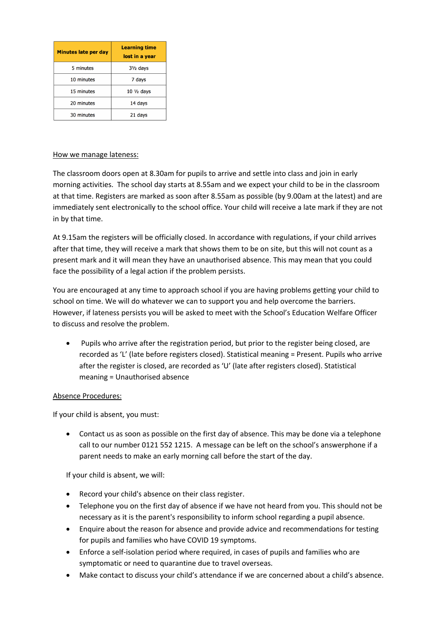| <b>Minutes late per day</b> | Learning time<br>lost in a year |
|-----------------------------|---------------------------------|
| 5 minutes                   | $3\frac{1}{2}$ days             |
| 10 minutes                  | 7 days                          |
| 15 minutes                  | $10 \frac{1}{2}$ days           |
| 20 minutes                  | 14 days                         |
| 30 minutes                  | 21 days                         |

#### How we manage lateness:

The classroom doors open at 8.30am for pupils to arrive and settle into class and join in early morning activities. The school day starts at 8.55am and we expect your child to be in the classroom at that time. Registers are marked as soon after 8.55am as possible (by 9.00am at the latest) and are immediately sent electronically to the school office. Your child will receive a late mark if they are not in by that time.

At 9.15am the registers will be officially closed. In accordance with regulations, if your child arrives after that time, they will receive a mark that shows them to be on site, but this will not count as a present mark and it will mean they have an unauthorised absence. This may mean that you could face the possibility of a legal action if the problem persists.

You are encouraged at any time to approach school if you are having problems getting your child to school on time. We will do whatever we can to support you and help overcome the barriers. However, if lateness persists you will be asked to meet with the School's Education Welfare Officer to discuss and resolve the problem.

• Pupils who arrive after the registration period, but prior to the register being closed, are recorded as 'L' (late before registers closed). Statistical meaning = Present. Pupils who arrive after the register is closed, are recorded as 'U' (late after registers closed). Statistical meaning = Unauthorised absence

# Absence Procedures:

If your child is absent, you must:

• Contact us as soon as possible on the first day of absence. This may be done via a telephone call to our number 0121 552 1215. A message can be left on the school's answerphone if a parent needs to make an early morning call before the start of the day.

If your child is absent, we will:

- Record your child's absence on their class register.
- Telephone you on the first day of absence if we have not heard from you. This should not be necessary as it is the parent's responsibility to inform school regarding a pupil absence.
- Enquire about the reason for absence and provide advice and recommendations for testing for pupils and families who have COVID 19 symptoms.
- Enforce a self-isolation period where required, in cases of pupils and families who are symptomatic or need to quarantine due to travel overseas.
- Make contact to discuss your child's attendance if we are concerned about a child's absence.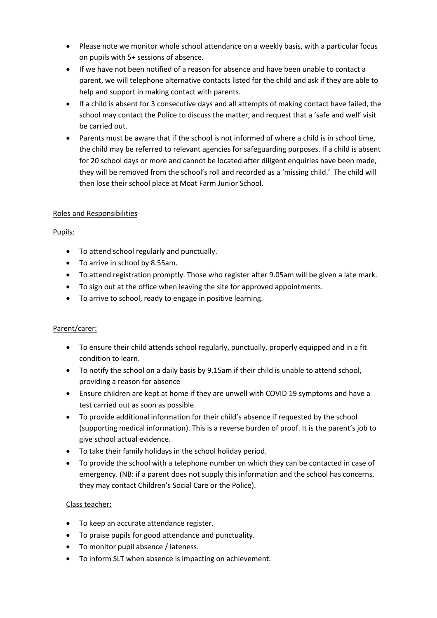- Please note we monitor whole school attendance on a weekly basis, with a particular focus on pupils with 5+ sessions of absence.
- If we have not been notified of a reason for absence and have been unable to contact a parent, we will telephone alternative contacts listed for the child and ask if they are able to help and support in making contact with parents.
- If a child is absent for 3 consecutive days and all attempts of making contact have failed, the school may contact the Police to discuss the matter, and request that a 'safe and well' visit be carried out.
- Parents must be aware that if the school is not informed of where a child is in school time, the child may be referred to relevant agencies for safeguarding purposes. If a child is absent for 20 school days or more and cannot be located after diligent enquiries have been made, they will be removed from the school's roll and recorded as a 'missing child.' The child will then lose their school place at Moat Farm Junior School.

# Roles and Responsibilities

# Pupils:

- To attend school regularly and punctually.
- To arrive in school by 8.55am.
- To attend registration promptly. Those who register after 9.05am will be given a late mark.
- To sign out at the office when leaving the site for approved appointments.
- To arrive to school, ready to engage in positive learning.

# Parent/carer:

- To ensure their child attends school regularly, punctually, properly equipped and in a fit condition to learn.
- To notify the school on a daily basis by 9.15am if their child is unable to attend school, providing a reason for absence
- Ensure children are kept at home if they are unwell with COVID 19 symptoms and have a test carried out as soon as possible.
- To provide additional information for their child's absence if requested by the school (supporting medical information). This is a reverse burden of proof. It is the parent's job to give school actual evidence.
- To take their family holidays in the school holiday period.
- To provide the school with a telephone number on which they can be contacted in case of emergency. (NB: if a parent does not supply this information and the school has concerns, they may contact Children's Social Care or the Police).

# Class teacher:

- To keep an accurate attendance register.
- To praise pupils for good attendance and punctuality.
- To monitor pupil absence / lateness.
- To inform SLT when absence is impacting on achievement.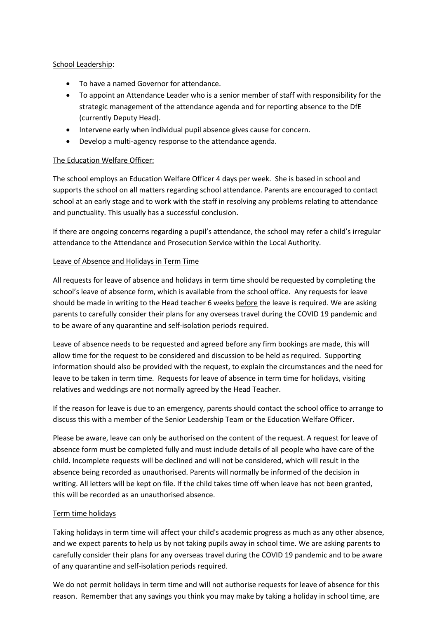#### School Leadership:

- To have a named Governor for attendance.
- To appoint an Attendance Leader who is a senior member of staff with responsibility for the strategic management of the attendance agenda and for reporting absence to the DfE (currently Deputy Head).
- Intervene early when individual pupil absence gives cause for concern.
- Develop a multi-agency response to the attendance agenda.

# The Education Welfare Officer:

The school employs an Education Welfare Officer 4 days per week. She is based in school and supports the school on all matters regarding school attendance. Parents are encouraged to contact school at an early stage and to work with the staff in resolving any problems relating to attendance and punctuality. This usually has a successful conclusion.

If there are ongoing concerns regarding a pupil's attendance, the school may refer a child's irregular attendance to the Attendance and Prosecution Service within the Local Authority.

# Leave of Absence and Holidays in Term Time

All requests for leave of absence and holidays in term time should be requested by completing the school's leave of absence form, which is available from the school office. Any requests for leave should be made in writing to the Head teacher 6 weeks before the leave is required. We are asking parents to carefully consider their plans for any overseas travel during the COVID 19 pandemic and to be aware of any quarantine and self-isolation periods required.

Leave of absence needs to be requested and agreed before any firm bookings are made, this will allow time for the request to be considered and discussion to be held as required. Supporting information should also be provided with the request, to explain the circumstances and the need for leave to be taken in term time. Requests for leave of absence in term time for holidays, visiting relatives and weddings are not normally agreed by the Head Teacher.

If the reason for leave is due to an emergency, parents should contact the school office to arrange to discuss this with a member of the Senior Leadership Team or the Education Welfare Officer.

Please be aware, leave can only be authorised on the content of the request. A request for leave of absence form must be completed fully and must include details of all people who have care of the child. Incomplete requests will be declined and will not be considered, which will result in the absence being recorded as unauthorised. Parents will normally be informed of the decision in writing. All letters will be kept on file. If the child takes time off when leave has not been granted, this will be recorded as an unauthorised absence.

# Term time holidays

Taking holidays in term time will affect your child's academic progress as much as any other absence, and we expect parents to help us by not taking pupils away in school time. We are asking parents to carefully consider their plans for any overseas travel during the COVID 19 pandemic and to be aware of any quarantine and self-isolation periods required.

We do not permit holidays in term time and will not authorise requests for leave of absence for this reason. Remember that any savings you think you may make by taking a holiday in school time, are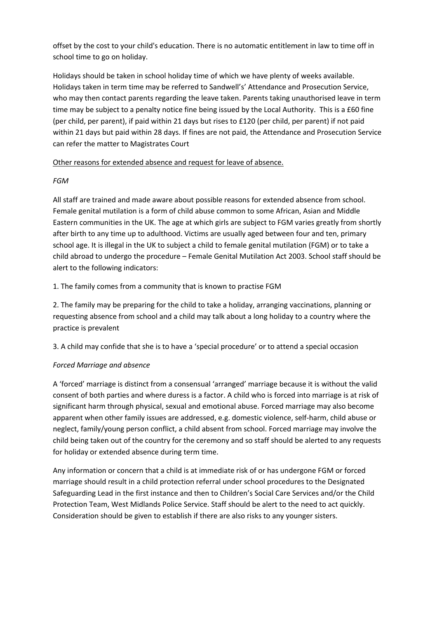offset by the cost to your child's education. There is no automatic entitlement in law to time off in school time to go on holiday.

Holidays should be taken in school holiday time of which we have plenty of weeks available. Holidays taken in term time may be referred to Sandwell's' Attendance and Prosecution Service, who may then contact parents regarding the leave taken. Parents taking unauthorised leave in term time may be subject to a penalty notice fine being issued by the Local Authority. This is a £60 fine (per child, per parent), if paid within 21 days but rises to £120 (per child, per parent) if not paid within 21 days but paid within 28 days. If fines are not paid, the Attendance and Prosecution Service can refer the matter to Magistrates Court

# Other reasons for extended absence and request for leave of absence.

# *FGM*

All staff are trained and made aware about possible reasons for extended absence from school. Female genital mutilation is a form of child abuse common to some African, Asian and Middle Eastern communities in the UK. The age at which girls are subject to FGM varies greatly from shortly after birth to any time up to adulthood. Victims are usually aged between four and ten, primary school age. It is illegal in the UK to subject a child to female genital mutilation (FGM) or to take a child abroad to undergo the procedure – Female Genital Mutilation Act 2003. School staff should be alert to the following indicators:

# 1. The family comes from a community that is known to practise FGM

2. The family may be preparing for the child to take a holiday, arranging vaccinations, planning or requesting absence from school and a child may talk about a long holiday to a country where the practice is prevalent

3. A child may confide that she is to have a 'special procedure' or to attend a special occasion

# *Forced Marriage and absence*

A 'forced' marriage is distinct from a consensual 'arranged' marriage because it is without the valid consent of both parties and where duress is a factor. A child who is forced into marriage is at risk of significant harm through physical, sexual and emotional abuse. Forced marriage may also become apparent when other family issues are addressed, e.g. domestic violence, self-harm, child abuse or neglect, family/young person conflict, a child absent from school. Forced marriage may involve the child being taken out of the country for the ceremony and so staff should be alerted to any requests for holiday or extended absence during term time.

Any information or concern that a child is at immediate risk of or has undergone FGM or forced marriage should result in a child protection referral under school procedures to the Designated Safeguarding Lead in the first instance and then to Children's Social Care Services and/or the Child Protection Team, West Midlands Police Service. Staff should be alert to the need to act quickly. Consideration should be given to establish if there are also risks to any younger sisters.